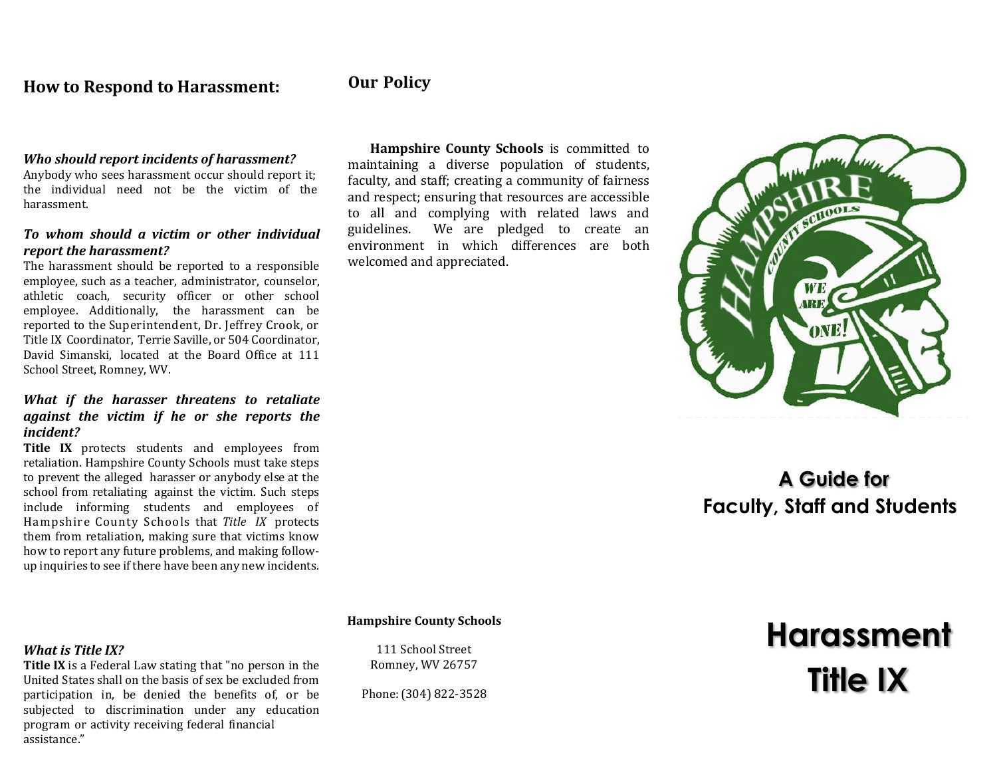### **How to Respond to Harassment: Our Policy**

#### *Who should report incidents of harassment?*

Anybody who sees harassment occur should report it; the individual need not be the victim of the harassment.

### *To whom should a victim or other individual report the harassment?*

The harassment should be reported to a responsible employee, such as a teacher, administrator, counselor, athletic coach, security officer or other school employee. Additionally, the harassment can be reported to the Superintendent, Dr. Jeffrey Crook, or Title IX Coordinator, Terrie Saville, or 504 Coordinator, David Simanski, located at the Board Office at 111 School Street, Romney, WV.

#### *What if the harasser threatens to retaliate against the victim if he or she reports the incident?*

**Title IX** protects students and employees from retaliation. Hampshire County Schools must take steps to prevent the alleged harasser or anybody else at the school from retaliating against the victim. Such steps include informing students and employees of Hampshire County Schools that *Title IX* protects them from retaliation, making sure that victims know how to report any future problems, and making followup inquiries to see if there have been any new incidents.

#### *What is Title IX?*

**Title IX** is a Federal Law stating that "no person in the United States shall on the basis of sex be excluded from participation in, be denied the benefits of, or be subjected to discrimination under any education program or activity receiving federal financial assistance."

**Hampshire County Schools** is committed to maintaining a diverse population of students, faculty, and staff; creating a community of fairness and respect; ensuring that resources are accessible to all and complying with related laws and guidelines. We are pledged to create an environment in which differences are both welcomed and appreciated.



## **A Guide for Faculty, Staff and Students**

#### **Hampshire County Schools**

111 School Street Romney, WV 26757

Phone:(304) 822-3528

# **Harassment Title IX**